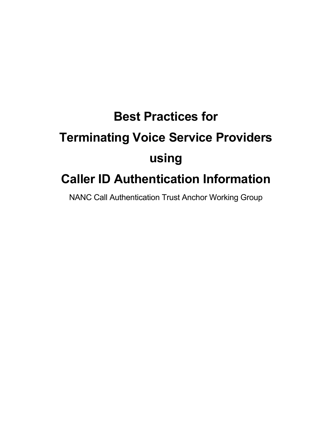# **Best Practices for Terminating Voice Service Providers using Caller ID Authentication Information**

NANC Call Authentication Trust Anchor Working Group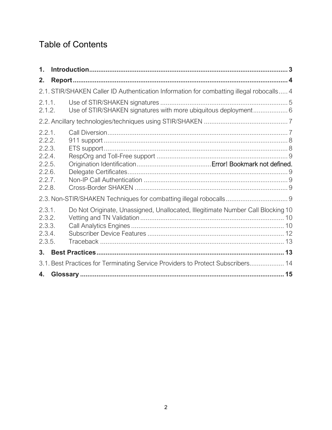# Table of Contents

| 1.                                                                          |                                                                                          |
|-----------------------------------------------------------------------------|------------------------------------------------------------------------------------------|
| 2.                                                                          |                                                                                          |
|                                                                             | 2.1. STIR/SHAKEN Caller ID Authentication Information for combatting illegal robocalls 4 |
| 2.1.1.<br>2.1.2.                                                            | Use of STIR/SHAKEN signatures with more ubiquitous deployment 6                          |
|                                                                             |                                                                                          |
| 2.2.1.<br>2.2.2.<br>2.2.3.<br>2.2.4.<br>2.2.5.<br>2.2.6.<br>2.2.7<br>2.2.8. |                                                                                          |
|                                                                             |                                                                                          |
| 2.3.1.<br>2.3.2.<br>2.3.3.<br>2.3.4.<br>2.3.5.                              | Do Not Originate, Unassigned, Unallocated, Illegitimate Number Call Blocking 10          |
| 3 <sub>1</sub>                                                              |                                                                                          |
|                                                                             | 3.1. Best Practices for Terminating Service Providers to Protect Subscribers 14          |
| 4.                                                                          | 15                                                                                       |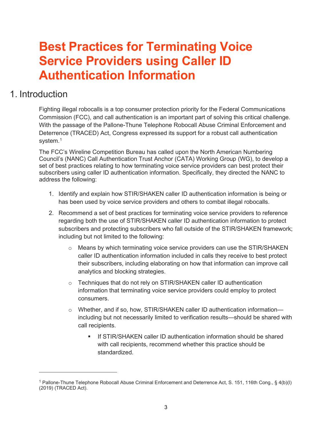# **Best Practices for Terminating Voice Service Providers using Caller ID Authentication Information**

# <span id="page-2-0"></span>1. Introduction

Fighting illegal robocalls is a top consumer protection priority for the Federal Communications Commission (FCC), and call authentication is an important part of solving this critical challenge. With the passage of the Pallone-Thune Telephone Robocall Abuse Criminal Enforcement and Deterrence (TRACED) Act, Congress expressed its support for a robust call authentication system.<sup>1</sup>

The FCC's Wireline Competition Bureau has called upon the North American Numbering Council's (NANC) Call Authentication Trust Anchor (CATA) Working Group (WG), to develop a set of best practices relating to how terminating voice service providers can best protect their subscribers using caller ID authentication information. Specifically, they directed the NANC to address the following:

- 1. Identify and explain how STIR/SHAKEN caller ID authentication information is being or has been used by voice service providers and others to combat illegal robocalls.
- 2. Recommend a set of best practices for terminating voice service providers to reference regarding both the use of STIR/SHAKEN caller ID authentication information to protect subscribers and protecting subscribers who fall outside of the STIR/SHAKEN framework; including but not limited to the following:
	- o Means by which terminating voice service providers can use the STIR/SHAKEN caller ID authentication information included in calls they receive to best protect their subscribers, including elaborating on how that information can improve call analytics and blocking strategies.
	- o Techniques that do not rely on STIR/SHAKEN caller ID authentication information that terminating voice service providers could employ to protect consumers.
	- o Whether, and if so, how, STIR/SHAKEN caller ID authentication information including but not necessarily limited to verification results—should be shared with call recipients.
		- If STIR/SHAKEN caller ID authentication information should be shared with call recipients, recommend whether this practice should be standardized.

<span id="page-2-1"></span><sup>1</sup> Pallone-Thune Telephone Robocall Abuse Criminal Enforcement and Deterrence Act, S. 151, 116th Cong., § 4(b)(l) (2019) (TRACED Act).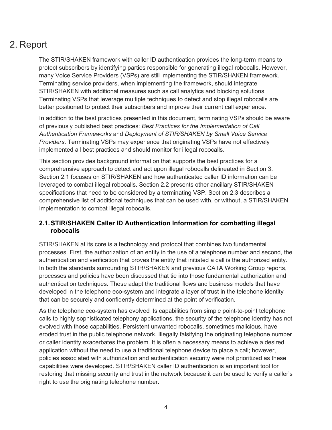# <span id="page-3-0"></span>2. Report

The STIR/SHAKEN framework with caller ID authentication provides the long-term means to protect subscribers by identifying parties responsible for generating illegal robocalls. However, many Voice Service Providers (VSPs) are still implementing the STIR/SHAKEN framework. Terminating service providers, when implementing the framework, should integrate STIR/SHAKEN with additional measures such as call analytics and blocking solutions. Terminating VSPs that leverage multiple techniques to detect and stop illegal robocalls are better positioned to protect their subscribers and improve their current call experience.

In addition to the best practices presented in this document, terminating VSPs should be aware of previously published best practices: *Best Practices for the Implementation of Call Authentication Frameworks* and *Deployment of STIR/SHAKEN by Small Voice Service Providers*. Terminating VSPs may experience that originating VSPs have not effectively implemented all best practices and should monitor for illegal robocalls.

This section provides background information that supports the best practices for a comprehensive approach to detect and act upon illegal robocalls delineated in Section 3. Section 2.1 focuses on STIR/SHAKEN and how authenticated caller ID information can be leveraged to combat illegal robocalls. Section 2.2 presents other ancillary STIR/SHAKEN specifications that need to be considered by a terminating VSP. Section 2.3 describes a comprehensive list of additional techniques that can be used with, or without, a STIR/SHAKEN implementation to combat illegal robocalls.

#### <span id="page-3-1"></span>**2.1.STIR/SHAKEN Caller ID Authentication Information for combatting illegal robocalls**

STIR/SHAKEN at its core is a technology and protocol that combines two fundamental processes. First, the authorization of an entity in the use of a telephone number and second, the authentication and verification that proves the entity that initiated a call is the authorized entity. In both the standards surrounding STIR/SHAKEN and previous CATA Working Group reports, processes and policies have been discussed that tie into those fundamental authorization and authentication techniques. These adapt the traditional flows and business models that have developed in the telephone eco-system and integrate a layer of trust in the telephone identity that can be securely and confidently determined at the point of verification.

As the telephone eco-system has evolved its capabilities from simple point-to-point telephone calls to highly sophisticated telephony applications, the security of the telephone identity has not evolved with those capabilities. Persistent unwanted robocalls, sometimes malicious, have eroded trust in the public telephone network. Illegally falsifying the originating telephone number or caller identity exacerbates the problem. It is often a necessary means to achieve a desired application without the need to use a traditional telephone device to place a call; however, policies associated with authorization and authentication security were not prioritized as these capabilities were developed. STIR/SHAKEN caller ID authentication is an important tool for restoring that missing security and trust in the network because it can be used to verify a caller's right to use the originating telephone number.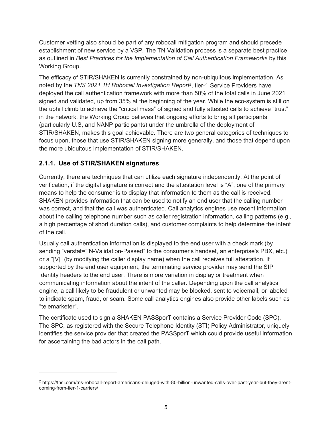Customer vetting also should be part of any robocall mitigation program and should precede establishment of new service by a VSP. The TN Validation process is a separate best practice as outlined in *Best Practices for the Implementation of Call Authentication Frameworks* by this Working Group.

The efficacy of STIR/SHAKEN is currently constrained by non-ubiquitous implementation. As noted by the *TNS 2021 1H Robocall Investigation Report*[2](#page-4-1), tier-1 Service Providers have deployed the call authentication framework with more than 50% of the total calls in June 2021 signed and validated, up from 35% at the beginning of the year. While the eco-system is still on the uphill climb to achieve the "critical mass" of signed and fully attested calls to achieve "trust" in the network, the Working Group believes that ongoing efforts to bring all participants (particularly U.S, and NANP participants) under the umbrella of the deployment of STIR/SHAKEN, makes this goal achievable. There are two general categories of techniques to focus upon, those that use STIR/SHAKEN signing more generally, and those that depend upon the more ubiquitous implementation of STIR/SHAKEN.

#### <span id="page-4-0"></span>**2.1.1. Use of STIR/SHAKEN signatures**

Currently, there are techniques that can utilize each signature independently. At the point of verification, if the digital signature is correct and the attestation level is "A", one of the primary means to help the consumer is to display that information to them as the call is received. SHAKEN provides information that can be used to notify an end user that the calling number was correct, and that the call was authenticated. Call analytics engines use recent information about the calling telephone number such as caller registration information, calling patterns (e.g., a high percentage of short duration calls), and customer complaints to help determine the intent of the call.

Usually call authentication information is displayed to the end user with a check mark (by sending "verstat=TN-Validation-Passed" to the consumer's handset, an enterprise's PBX, etc.) or a "[V]" (by modifying the caller display name) when the call receives full attestation. If supported by the end user equipment, the terminating service provider may send the SIP Identity headers to the end user. There is more variation in display or treatment when communicating information about the intent of the caller. Depending upon the call analytics engine, a call likely to be fraudulent or unwanted may be blocked, sent to voicemail, or labeled to indicate spam, fraud, or scam. Some call analytics engines also provide other labels such as "telemarketer".

The certificate used to sign a SHAKEN PASSporT contains a Service Provider Code (SPC). The SPC, as registered with the Secure Telephone Identity (STI) Policy Administrator, uniquely identifies the service provider that created the PASSporT which could provide useful information for ascertaining the bad actors in the call path.

<span id="page-4-1"></span><sup>2</sup> https://tnsi.com/tns-robocall-report-americans-deluged-with-80-billion-unwanted-calls-over-past-year-but-they-arentcoming-from-tier-1-carriers/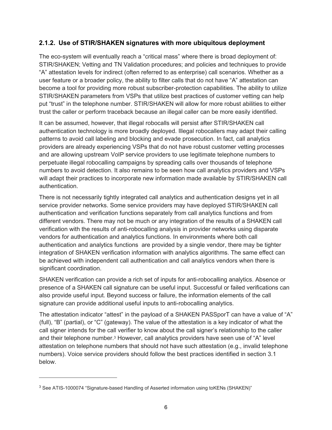#### <span id="page-5-0"></span>**2.1.2. Use of STIR/SHAKEN signatures with more ubiquitous deployment**

The eco-system will eventually reach a "critical mass" where there is broad deployment of: STIR/SHAKEN; Vetting and TN Validation procedures; and policies and techniques to provide "A" attestation levels for indirect (often referred to as enterprise) call scenarios. Whether as a user feature or a broader policy, the ability to filter calls that do not have "A" attestation can become a tool for providing more robust subscriber-protection capabilities. The ability to utilize STIR/SHAKEN parameters from VSPs that utilize best practices of customer vetting can help put "trust" in the telephone number. STIR/SHAKEN will allow for more robust abilities to either trust the caller or perform traceback because an illegal caller can be more easily identified.

It can be assumed, however, that illegal robocalls will persist after STIR/SHAKEN call authentication technology is more broadly deployed. Illegal robocallers may adapt their calling patterns to avoid call labeling and blocking and evade prosecution. In fact, call analytics providers are already experiencing VSPs that do not have robust customer vetting processes and are allowing upstream VoIP service providers to use legitimate telephone numbers to perpetuate illegal robocalling campaigns by spreading calls over thousands of telephone numbers to avoid detection. It also remains to be seen how call analytics providers and VSPs will adapt their practices to incorporate new information made available by STIR/SHAKEN call authentication.

There is not necessarily tightly integrated call analytics and authentication designs yet in all service provider networks. Some service providers may have deployed STIR/SHAKEN call authentication and verification functions separately from call analytics functions and from different vendors. There may not be much or any integration of the results of a SHAKEN call verification with the results of anti-robocalling analysis in provider networks using disparate vendors for authentication and analytics functions. In environments where both call authentication and analytics functions are provided by a single vendor, there may be tighter integration of SHAKEN verification information with analytics algorithms. The same effect can be achieved with independent call authentication and call analytics vendors when there is significant coordination.

SHAKEN verification can provide a rich set of inputs for anti-robocalling analytics. Absence or presence of a SHAKEN call signature can be useful input. Successful or failed verifications can also provide useful input. Beyond success or failure, the information elements of the call signature can provide additional useful inputs to anti-robocalling analytics.

The attestation indicator "attest" in the payload of a SHAKEN PASSporT can have a value of "A" (full), "B" (partial), or "C" (gateway). The value of the attestation is a key indicator of what the call signer intends for the call verifier to know about the call signer's relationship to the caller and their telephone number[.3](#page-5-1) However, call analytics providers have seen use of "A" level attestation on telephone numbers that should not have such attestation (e.g., invalid telephone numbers). Voice service providers should follow the best practices identified in section 3.1 below.

<span id="page-5-1"></span><sup>&</sup>lt;sup>3</sup> See ATIS-1000074 "Signature-based Handling of Asserted information using toKENs (SHAKEN)"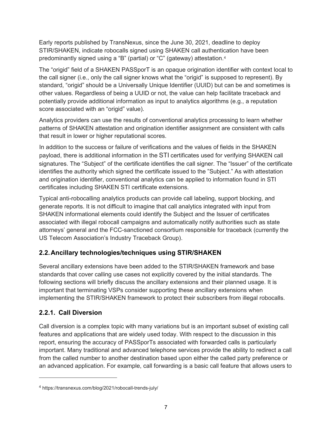Early reports published by TransNexus, since the June 30, 2021, deadline to deploy STIR/SHAKEN, indicate robocalls signed using SHAKEN call authentication have been predominantly signed using a "B" (partial) or "C" (gateway) attestation.[4](#page-6-2)

The "origid" field of a SHAKEN PASSporT is an opaque origination identifier with context local to the call signer (i.e., only the call signer knows what the "origid" is supposed to represent). By standard, "origid" should be a Universally Unique Identifier (UUID) but can be and sometimes is other values. Regardless of being a UUID or not, the value can help facilitate traceback and potentially provide additional information as input to analytics algorithms (e.g., a reputation score associated with an "origid" value).

Analytics providers can use the results of conventional analytics processing to learn whether patterns of SHAKEN attestation and origination identifier assignment are consistent with calls that result in lower or higher reputational scores.

In addition to the success or failure of verifications and the values of fields in the SHAKEN payload, there is additional information in the STI certificates used for verifying SHAKEN call signatures. The "Subject" of the certificate identifies the call signer. The "Issuer" of the certificate identifies the authority which signed the certificate issued to the "Subject." As with attestation and origination identifier, conventional analytics can be applied to information found in STI certificates including SHAKEN STI certificate extensions.

Typical anti-robocalling analytics products can provide call labeling, support blocking, and generate reports. It is not difficult to imagine that call analytics integrated with input from SHAKEN informational elements could identify the Subject and the Issuer of certificates associated with illegal robocall campaigns and automatically notify authorities such as state attorneys' general and the FCC-sanctioned consortium responsible for traceback (currently the US Telecom Association's Industry Traceback Group).

#### <span id="page-6-0"></span>**2.2.Ancillary technologies/techniques using STIR/SHAKEN**

Several ancillary extensions have been added to the STIR/SHAKEN framework and base standards that cover calling use cases not explicitly covered by the initial standards. The following sections will briefly discuss the ancillary extensions and their planned usage. It is important that terminating VSPs consider supporting these ancillary extensions when implementing the STIR/SHAKEN framework to protect their subscribers from illegal robocalls.

#### <span id="page-6-1"></span>**2.2.1. Call Diversion**

Call diversion is a complex topic with many variations but is an important subset of existing call features and applications that are widely used today. With respect to the discussion in this report, ensuring the accuracy of PASSporTs associated with forwarded calls is particularly important. Many traditional and advanced telephone services provide the ability to redirect a call from the called number to another destination based upon either the called party preference or an advanced application. For example, call forwarding is a basic call feature that allows users to

<span id="page-6-2"></span><sup>4</sup> <https://transnexus.com/blog/2021/robocall-trends-july/>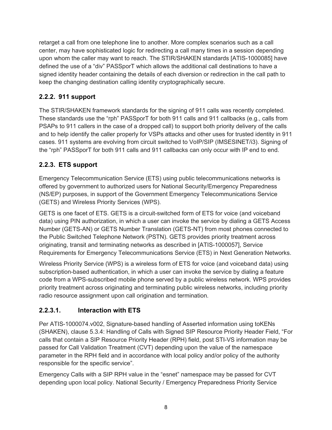retarget a call from one telephone line to another. More complex scenarios such as a call center, may have sophisticated logic for redirecting a call many times in a session depending upon whom the caller may want to reach. The STIR/SHAKEN standards [ATIS-1000085] have defined the use of a "div" PASSporT which allows the additional call destinations to have a signed identity header containing the details of each diversion or redirection in the call path to keep the changing destination calling identity cryptographically secure.

#### <span id="page-7-0"></span>**2.2.2. 911 support**

The STIR/SHAKEN framework standards for the signing of 911 calls was recently completed. These standards use the "rph" PASSporT for both 911 calls and 911 callbacks (e.g., calls from PSAPs to 911 callers in the case of a dropped call) to support both priority delivery of the calls and to help identify the caller properly for VSPs attacks and other uses for trusted identity in 911 cases. 911 systems are evolving from circuit switched to VoIP/SIP (IMSESINET/i3). Signing of the "rph" PASSporT for both 911 calls and 911 callbacks can only occur with IP end to end.

#### <span id="page-7-1"></span>**2.2.3. ETS support**

Emergency Telecommunication Service (ETS) using public telecommunications networks is offered by government to authorized users for National Security/Emergency Preparedness (NS/EP) purposes, in support of the Government Emergency Telecommunications Service (GETS) and Wireless Priority Services (WPS).

GETS is one facet of ETS. GETS is a circuit-switched form of ETS for voice (and voiceband data) using PIN authorization, in which a user can invoke the service by dialing a GETS Access Number (GETS-AN) or GETS Number Translation (GETS-NT) from most phones connected to the Public Switched Telephone Network (PSTN). GETS provides priority treatment across originating, transit and terminating networks as described in [ATIS-1000057], Service Requirements for Emergency Telecommunications Service (ETS) in Next Generation Networks.

Wireless Priority Service (WPS) is a wireless form of ETS for voice (and voiceband data) using subscription-based authentication, in which a user can invoke the service by dialing a feature code from a WPS-subscribed mobile phone served by a public wireless network. WPS provides priority treatment across originating and terminating public wireless networks, including priority radio resource assignment upon call origination and termination.

#### **2.2.3.1. Interaction with ETS**

Per ATIS-1000074.v002, Signature-based handling of Asserted information using toKENs (SHAKEN), clause 5.3.4: Handling of Calls with Signed SIP Resource Priority Header Field, "For calls that contain a SIP Resource Priority Header (RPH) field, post STI-VS information may be passed for Call Validation Treatment (CVT) depending upon the value of the namespace parameter in the RPH field and in accordance with local policy and/or policy of the authority responsible for the specific service".

Emergency Calls with a SIP RPH value in the "esnet" namespace may be passed for CVT depending upon local policy. National Security / Emergency Preparedness Priority Service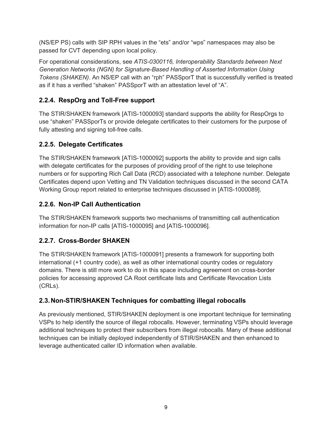(NS/EP PS) calls with SIP RPH values in the "ets" and/or "wps" namespaces may also be passed for CVT depending upon local policy.

For operational considerations, see *ATIS-0300116, Interoperability Standards between Next Generation Networks (NGN) for Signature-Based Handling of Asserted Information Using Tokens (SHAKEN)*. An NS/EP call with an "rph" PASSporT that is successfully verified is treated as if it has a verified "shaken" PASSporT with an attestation level of "A".

#### <span id="page-8-0"></span>**2.2.4. RespOrg and Toll-Free support**

The STIR/SHAKEN framework [ATIS-1000093] standard supports the ability for RespOrgs to use "shaken" PASSporTs or provide delegate certificates to their customers for the purpose of fully attesting and signing toll-free calls.

#### <span id="page-8-1"></span>**2.2.5. Delegate Certificates**

The STIR/SHAKEN framework [ATIS-1000092] supports the ability to provide and sign calls with delegate certificates for the purposes of providing proof of the right to use telephone numbers or for supporting Rich Call Data (RCD) associated with a telephone number. Delegate Certificates depend upon Vetting and TN Validation techniques discussed in the second CATA Working Group report related to enterprise techniques discussed in [ATIS-1000089].

#### <span id="page-8-2"></span>**2.2.6. Non-IP Call Authentication**

The STIR/SHAKEN framework supports two mechanisms of transmitting call authentication information for non-IP calls [ATIS-1000095] and [ATIS-1000096].

#### <span id="page-8-3"></span>**2.2.7. Cross-Border SHAKEN**

The STIR/SHAKEN framework [ATIS-1000091] presents a framework for supporting both international (+1 country code), as well as other international country codes or regulatory domains. There is still more work to do in this space including agreement on cross-border policies for accessing approved CA Root certificate lists and Certificate Revocation Lists (CRLs).

#### <span id="page-8-4"></span>**2.3.Non-STIR/SHAKEN Techniques for combatting illegal robocalls**

As previously mentioned, STIR/SHAKEN deployment is one important technique for terminating VSPs to help identify the source of illegal robocalls. However, terminating VSPs should leverage additional techniques to protect their subscribers from illegal robocalls. Many of these additional techniques can be initially deployed independently of STIR/SHAKEN and then enhanced to leverage authenticated caller ID information when available.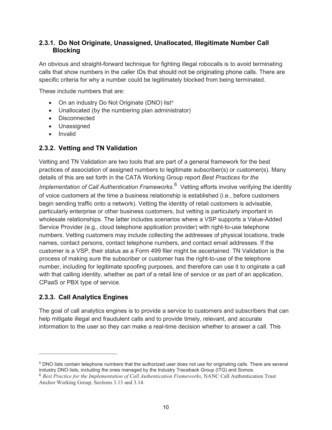#### <span id="page-9-0"></span>**2.3.1. Do Not Originate, Unassigned, Unallocated, Illegitimate Number Call Blocking**

An obvious and straight-forward technique for fighting illegal robocalls is to avoid terminating calls that show numbers in the caller IDs that should not be originating phone calls. There are specific criteria for why a number could be legitimately blocked from being terminated.

These include numbers that are:

- On an industry Do Not Originate (DNO) list<sup>[5](#page-9-3)</sup>
- Unallocated (by the numbering plan administrator)
- Disconnected
- Unassigned
- Invalid

#### <span id="page-9-1"></span>**2.3.2. Vetting and TN Validation**

Vetting and TN Validation are two tools that are part of a general framework for the best practices of association of assigned numbers to legitimate subscriber(s) or customer(s). Many details of this are set forth in the CATA Working Group report *Best Practices for the Implementation of Call Authentication Frameworks*. [6](#page-9-4) Vetting efforts involve verifying the identity of voice customers at the time a business relationship is established (i.e., before customers begin sending traffic onto a network). Vetting the identity of retail customers is advisable, particularly enterprise or other business customers, but vetting is particularly important in wholesale relationships. The latter includes scenarios where a VSP supports a Value-Added Service Provider (e.g., cloud telephone application provider) with right-to-use telephone numbers. Vetting customers may include collecting the addresses of physical locations, trade names, contact persons, contact telephone numbers, and contact email addresses. If the customer is a VSP, their status as a Form 499 filer might be ascertained. TN Validation is the process of making sure the subscriber or customer has the right-to-use of the telephone number, including for legitimate spoofing purposes, and therefore can use it to originate a call with that calling identity, whether as part of a retail line of service or as part of an application, CPaaS or PBX type of service.

#### <span id="page-9-2"></span>**2.3.3. Call Analytics Engines**

The goal of call analytics engines is to provide a service to customers and subscribers that can help mitigate illegal and fraudulent calls and to provide timely, relevant, and accurate information to the user so they can make a real-time decision whether to answer a call. This

<span id="page-9-3"></span><sup>5</sup> DNO lists contain telephone numbers that the authorized user does not use for originating calls. There are several industry DNO lists, including the ones managed by the Industry Traceback Group (ITG) and Somos.

<span id="page-9-4"></span><sup>6</sup> *Best Practice for the Implementation of Call Authentication Frameworks*, NANC Call Authentication Trust Anchor Working Group, Sections 3.13 and 3.14.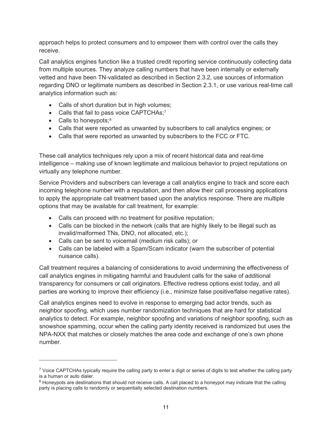approach helps to protect consumers and to empower them with control over the calls they receive.

Call analytics engines function like a trusted credit reporting service continuously collecting data from multiple sources. They analyze calling numbers that have been internally or externally vetted and have been TN-validated as described in Section 2.3.2, use sources of information regarding DNO or legitimate numbers as described in Section 2.3.1, or use various real-time call analytics information such as:

- Calls of short duration but in high volumes;
- Calls that fail to pass voice CAPTCHAs;<sup>[7](#page-10-0)</sup>
- Calls to honeypots; $8$
- Calls that were reported as unwanted by subscribers to call analytics engines; or
- Calls that were reported as unwanted by subscribers to the FCC or FTC.

These call analytics techniques rely upon a mix of recent historical data and real-time intelligence – making use of known legitimate and malicious behavior to project reputations on virtually any telephone number.

Service Providers and subscribers can leverage a call analytics engine to track and score each incoming telephone number with a reputation, and then allow their call processing applications to apply the appropriate call treatment based upon the analytics response. There are multiple options that may be available for call treatment, for example:

- Calls can proceed with no treatment for positive reputation;
- Calls can be blocked in the network (calls that are highly likely to be illegal such as invalid/malformed TNs, DNO, not allocated, etc.);
- Calls can be sent to voicemail (medium risk calls); or
- Calls can be labeled with a Spam/Scam indicator (warn the subscriber of potential nuisance calls).

Call treatment requires a balancing of considerations to avoid undermining the effectiveness of call analytics engines in mitigating harmful and fraudulent calls for the sake of additional transparency for consumers or call originators. Effective redress options exist today, and all parties are working to improve their efficiency (i.e., minimize false positive/false negative rates).

Call analytics engines need to evolve in response to emerging bad actor trends, such as neighbor spoofing, which uses number randomization techniques that are hard for statistical analytics to detect. For example, neighbor spoofing and variations of neighbor spoofing, such as snowshoe spamming, occur when the calling party identity received is randomized but uses the NPA-NXX that matches or closely matches the area code and exchange of one's own phone number.

<span id="page-10-0"></span><sup>&</sup>lt;sup>7</sup> Voice CAPTCHAs typically require the calling party to enter a digit or series of digits to test whether the calling party is a human or auto dialer.

<span id="page-10-1"></span><sup>&</sup>lt;sup>8</sup> Honeypots are destinations that should not receive calls. A call placed to a honeypot may indicate that the calling party is placing calls to randomly or sequentially selected destination numbers.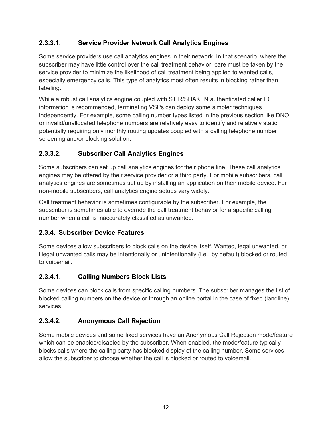#### **2.3.3.1. Service Provider Network Call Analytics Engines**

Some service providers use call analytics engines in their network. In that scenario, where the subscriber may have little control over the call treatment behavior, care must be taken by the service provider to minimize the likelihood of call treatment being applied to wanted calls, especially emergency calls. This type of analytics most often results in blocking rather than labeling.

While a robust call analytics engine coupled with STIR/SHAKEN authenticated caller ID information is recommended, terminating VSPs can deploy some simpler techniques independently. For example, some calling number types listed in the previous section like DNO or invalid/unallocated telephone numbers are relatively easy to identify and relatively static, potentially requiring only monthly routing updates coupled with a calling telephone number screening and/or blocking solution.

#### **2.3.3.2. Subscriber Call Analytics Engines**

Some subscribers can set up call analytics engines for their phone line. These call analytics engines may be offered by their service provider or a third party. For mobile subscribers, call analytics engines are sometimes set up by installing an application on their mobile device. For non-mobile subscribers, call analytics engine setups vary widely.

Call treatment behavior is sometimes configurable by the subscriber. For example, the subscriber is sometimes able to override the call treatment behavior for a specific calling number when a call is inaccurately classified as unwanted.

#### <span id="page-11-0"></span>**2.3.4. Subscriber Device Features**

Some devices allow subscribers to block calls on the device itself. Wanted, legal unwanted, or illegal unwanted calls may be intentionally or unintentionally (i.e., by default) blocked or routed to voicemail.

#### **2.3.4.1. Calling Numbers Block Lists**

Some devices can block calls from specific calling numbers. The subscriber manages the list of blocked calling numbers on the device or through an online portal in the case of fixed (landline) services.

#### **2.3.4.2. Anonymous Call Rejection**

Some mobile devices and some fixed services have an Anonymous Call Rejection mode/feature which can be enabled/disabled by the subscriber. When enabled, the mode/feature typically blocks calls where the calling party has blocked display of the calling number. Some services allow the subscriber to choose whether the call is blocked or routed to voicemail.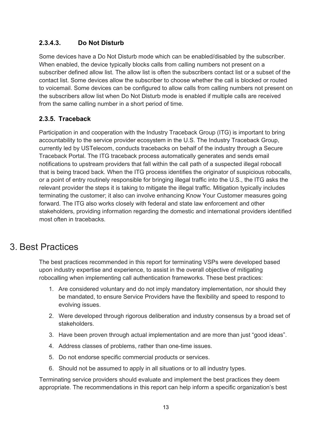#### **2.3.4.3. Do Not Disturb**

Some devices have a Do Not Disturb mode which can be enabled/disabled by the subscriber. When enabled, the device typically blocks calls from calling numbers not present on a subscriber defined allow list. The allow list is often the subscribers contact list or a subset of the contact list. Some devices allow the subscriber to choose whether the call is blocked or routed to voicemail. Some devices can be configured to allow calls from calling numbers not present on the subscribers allow list when Do Not Disturb mode is enabled if multiple calls are received from the same calling number in a short period of time.

#### <span id="page-12-0"></span>**2.3.5. Traceback**

Participation in and cooperation with the Industry Traceback Group (ITG) is important to bring accountability to the service provider ecosystem in the U.S. The Industry Traceback Group, currently led by USTelecom, conducts tracebacks on behalf of the industry through a Secure Traceback Portal. The ITG traceback process automatically generates and sends email notifications to upstream providers that fall within the call path of a suspected illegal robocall that is being traced back. When the ITG process identifies the originator of suspicious robocalls, or a point of entry routinely responsible for bringing illegal traffic into the U.S., the ITG asks the relevant provider the steps it is taking to mitigate the illegal traffic. Mitigation typically includes terminating the customer; it also can involve enhancing Know Your Customer measures going forward. The ITG also works closely with federal and state law enforcement and other stakeholders, providing information regarding the domestic and international providers identified most often in tracebacks.

### <span id="page-12-1"></span>3. Best Practices

The best practices recommended in this report for terminating VSPs were developed based upon industry expertise and experience, to assist in the overall objective of mitigating robocalling when implementing call authentication frameworks. These best practices:

- 1. Are considered voluntary and do not imply mandatory implementation, nor should they be mandated, to ensure Service Providers have the flexibility and speed to respond to evolving issues.
- 2. Were developed through rigorous deliberation and industry consensus by a broad set of stakeholders.
- 3. Have been proven through actual implementation and are more than just "good ideas".
- 4. Address classes of problems, rather than one-time issues.
- 5. Do not endorse specific commercial products or services.
- 6. Should not be assumed to apply in all situations or to all industry types.

Terminating service providers should evaluate and implement the best practices they deem appropriate. The recommendations in this report can help inform a specific organization's best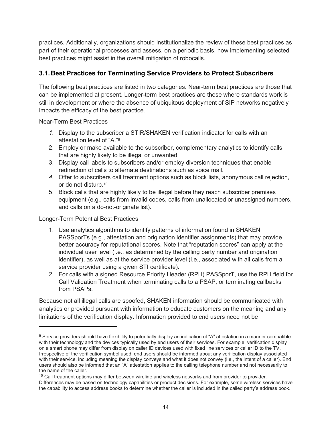practices. Additionally, organizations should institutionalize the review of these best practices as part of their operational processes and assess, on a periodic basis, how implementing selected best practices might assist in the overall mitigation of robocalls.

#### <span id="page-13-0"></span>**3.1.Best Practices for Terminating Service Providers to Protect Subscribers**

The following best practices are listed in two categories. Near-term best practices are those that can be implemented at present. Longer-term best practices are those where standards work is still in development or where the absence of ubiquitous deployment of SIP networks negatively impacts the efficacy of the best practice.

Near-Term Best Practices

- *1.* Display to the subscriber a STIR/SHAKEN verification indicator for calls with an attestation level of "A."[9](#page-13-1)
- 2. Employ or make available to the subscriber, complementary analytics to identify calls that are highly likely to be illegal or unwanted.
- 3. Display call labels to subscribers and/or employ diversion techniques that enable redirection of calls to alternate destinations such as voice mail.
- *4.* Offer to subscribers call treatment options such as block lists, anonymous call rejection, or do not disturb.[10](#page-13-2)
- 5. Block calls that are highly likely to be illegal before they reach subscriber premises equipment (e.g., calls from invalid codes, calls from unallocated or unassigned numbers, and calls on a do-not-originate list).

Longer-Term Potential Best Practices

- 1. Use analytics algorithms to identify patterns of information found in SHAKEN PASSporTs (e.g., attestation and origination identifier assignments) that may provide better accuracy for reputational scores. Note that "reputation scores" can apply at the individual user level (i.e., as determined by the calling party number and origination identifier), as well as at the service provider level (i.e., associated with all calls from a service provider using a given STI certificate).
- 2. For calls with a signed Resource Priority Header (RPH) PASSporT, use the RPH field for Call Validation Treatment when terminating calls to a PSAP, or terminating callbacks from PSAPs.

Because not all illegal calls are spoofed, SHAKEN information should be communicated with analytics or provided pursuant with information to educate customers on the meaning and any limitations of the verification display. Information provided to end users need not be

<span id="page-13-1"></span><sup>9</sup> Service providers should have flexibility to potentially display an indication of "A" attestation in a manner compatible with their technology and the devices typically used by end users of their services. For example, verification display on a smart phone may differ from display on caller ID devices used with fixed line services or caller ID to the TV. Irrespective of the verification symbol used, end users should be informed about any verification display associated with their service, including meaning the display conveys and what it does not convey (i.e., the intent of a caller). End users should also be informed that an "A" attestation applies to the calling telephone number and not necessarily to the name of the caller.

<span id="page-13-2"></span> $10$  Call treatment options may differ between wireline and wireless networks and from provider to provider. Differences may be based on technology capabilities or product decisions. For example, some wireless services have the capability to access address books to determine whether the caller is included in the called party's address book.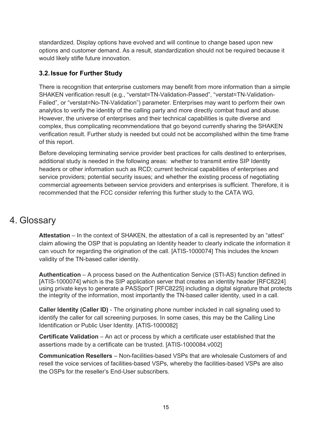standardized. Display options have evolved and will continue to change based upon new options and customer demand. As a result, standardization should not be required because it would likely stifle future innovation.

#### **3.2.Issue for Further Study**

There is recognition that enterprise customers may benefit from more information than a simple SHAKEN verification result (e.g., "verstat=TN-Validation-Passed", "verstat=TN-Validation-Failed", or "verstat=No-TN-Validation") parameter. Enterprises may want to perform their own analytics to verify the identity of the calling party and more directly combat fraud and abuse. However, the universe of enterprises and their technical capabilities is quite diverse and complex, thus complicating recommendations that go beyond currently sharing the SHAKEN verification result. Further study is needed but could not be accomplished within the time frame of this report.

Before developing terminating service provider best practices for calls destined to enterprises, additional study is needed in the following areas: whether to transmit entire SIP Identity headers or other information such as RCD; current technical capabilities of enterprises and service providers; potential security issues; and whether the existing process of negotiating commercial agreements between service providers and enterprises is sufficient. Therefore, it is recommended that the FCC consider referring this further study to the CATA WG.

# <span id="page-14-0"></span>4. Glossary

**Attestation** – In the context of SHAKEN, the attestation of a call is represented by an "attest" claim allowing the OSP that is populating an Identity header to clearly indicate the information it can vouch for regarding the origination of the call. [ATIS-1000074] This includes the known validity of the TN-based caller identity.

**Authentication** – A process based on the Authentication Service (STI-AS) function defined in [ATIS-1000074] which is the SIP application server that creates an identity header [RFC8224] using private keys to generate a PASSporT [RFC8225] including a digital signature that protects the integrity of the information, most importantly the TN-based caller identity, used in a call.

**Caller Identity (Caller ID)** - The originating phone number included in call signaling used to identify the caller for call screening purposes. In some cases, this may be the Calling Line Identification or Public User Identity. [ATIS-1000082]

**Certificate Validation** – An act or process by which a certificate user established that the assertions made by a certificate can be trusted. [ATIS-1000084.v002]

**Communication Resellers** – Non-facilities-based VSPs that are wholesale Customers of and resell the voice services of facilities-based VSPs, whereby the facilities-based VSPs are also the OSPs for the reseller's End-User subscribers.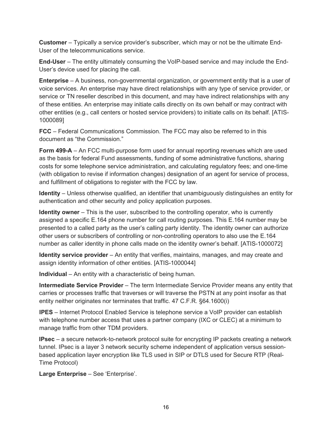**Customer** – Typically a service provider's subscriber, which may or not be the ultimate End-User of the telecommunications service.

**End-User** – The entity ultimately consuming the VoIP-based service and may include the End-User's device used for placing the call.

**Enterprise** – A business, non-governmental organization, or government entity that is a user of voice services. An enterprise may have direct relationships with any type of service provider, or service or TN reseller described in this document, and may have indirect relationships with any of these entities. An enterprise may initiate calls directly on its own behalf or may contract with other entities (e.g., call centers or hosted service providers) to initiate calls on its behalf. [ATIS-1000089]

**FCC** – Federal Communications Commission. The FCC may also be referred to in this document as "the Commission."

**Form 499-A** – An FCC multi-purpose form used for annual reporting revenues which are used as the basis for federal Fund assessments, funding of some administrative functions, sharing costs for some telephone service administration, and calculating regulatory fees; and one-time (with obligation to revise if information changes) designation of an agent for service of process, and fulfillment of obligations to register with the FCC by law.

**Identity** – Unless otherwise qualified, an identifier that unambiguously distinguishes an entity for authentication and other security and policy application purposes.

**Identity owner** – This is the user, subscribed to the controlling operator, who is currently assigned a specific E.164 phone number for call routing purposes. This E.164 number may be presented to a called party as the user's calling party identity. The identity owner can authorize other users or subscribers of controlling or non-controlling operators to also use the E.164 number as caller identity in phone calls made on the identity owner's behalf. [ATIS-1000072]

**Identity service provider** – An entity that verifies, maintains, manages, and may create and assign identity information of other entities. [ATIS-1000044]

**Individual** – An entity with a characteristic of being human.

**Intermediate Service Provider** – The term Intermediate Service Provider means any entity that carries or processes traffic that traverses or will traverse the PSTN at any point insofar as that entity neither originates nor terminates that traffic. 47 C.F.R. §64.1600(i)

**IPES** – Internet Protocol Enabled Service is telephone service a VoIP provider can establish with telephone number access that uses a partner company (IXC or CLEC) at a minimum to manage traffic from other TDM providers.

**IPsec** – a secure network-to-network protocol suite for encrypting IP packets creating a network tunnel. IPsec is a layer 3 network security scheme independent of application versus sessionbased application layer encryption like TLS used in SIP or DTLS used for Secure RTP (Real-Time Protocol)

**Large Enterprise** – See 'Enterprise'.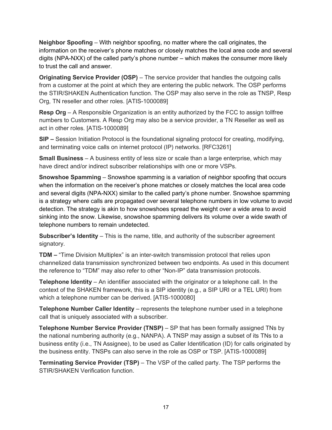**Neighbor Spoofing** – With neighbor spoofing, no matter where the call originates, the information on the receiver's phone matches or closely matches the local area code and several digits (NPA-NXX) of the called party's phone number – which makes the consumer more likely to trust the call and answer.

**Originating Service Provider (OSP)** – The service provider that handles the outgoing calls from a customer at the point at which they are entering the public network. The OSP performs the STIR/SHAKEN Authentication function. The OSP may also serve in the role as TNSP, Resp Org, TN reseller and other roles. [ATIS-1000089]

**Resp Org** – A Responsible Organization is an entity authorized by the FCC to assign tollfree numbers to Customers. A Resp Org may also be a service provider, a TN Reseller as well as act in other roles. [ATIS-1000089]

**SIP –** Session Initiation Protocol is the foundational signaling protocol for creating, modifying, and terminating voice calls on internet protocol (IP) networks. [RFC3261]

**Small Business** – A business entity of less size or scale than a large enterprise, which may have direct and/or indirect subscriber relationships with one or more VSPs.

**Snowshoe Spamming** – Snowshoe spamming is a variation of neighbor spoofing that occurs when the information on the receiver's phone matches or closely matches the local area code and several digits (NPA-NXX) similar to the called party's phone number. Snowshoe spamming is a strategy where calls are propagated over several telephone numbers in low volume to avoid detection. The strategy is akin to how snowshoes spread the weight over a wide area to avoid sinking into the snow. Likewise, snowshoe spamming delivers its volume over a wide swath of telephone numbers to remain undetected.

**Subscriber's Identity** – This is the name, title, and authority of the subscriber agreement signatory.

**TDM –** "Time Division Multiplex" is an inter-switch transmission protocol that relies upon channelized data transmission synchronized between two endpoints. As used in this document the reference to "TDM" may also refer to other "Non-IP" data transmission protocols.

**Telephone Identity** – An identifier associated with the originator or a telephone call. In the context of the SHAKEN framework, this is a SIP identity (e.g., a SIP URI or a TEL URI) from which a telephone number can be derived. [ATIS-1000080]

**Telephone Number Caller Identity** – represents the telephone number used in a telephone call that is uniquely associated with a subscriber.

**Telephone Number Service Provider (TNSP)** – SP that has been formally assigned TNs by the national numbering authority (e.g., NANPA). A TNSP may assign a subset of its TNs to a business entity (i.e., TN Assignee), to be used as Caller Identification (ID) for calls originated by the business entity. TNSPs can also serve in the role as OSP or TSP. [ATIS-1000089]

**Terminating Service Provider (TSP)** – The VSP of the called party. The TSP performs the STIR/SHAKEN Verification function.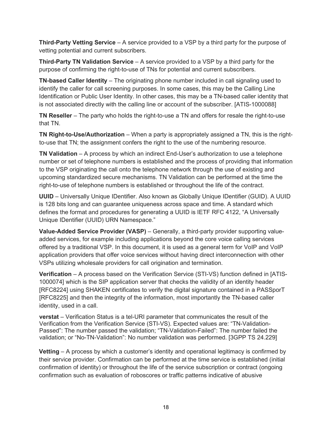**Third-Party Vetting Service** – A service provided to a VSP by a third party for the purpose of vetting potential and current subscribers.

**Third-Party TN Validation Service** – A service provided to a VSP by a third party for the purpose of confirming the right-to-use of TNs for potential and current subscribers.

**TN-based Caller Identity** – The originating phone number included in call signaling used to identify the caller for call screening purposes. In some cases, this may be the Calling Line Identification or Public User Identity. In other cases, this may be a TN-based caller identity that is not associated directly with the calling line or account of the subscriber. [ATIS-1000088]

**TN Reseller** – The party who holds the right-to-use a TN and offers for resale the right-to-use that TN.

**TN Right-to-Use/Authorization** – When a party is appropriately assigned a TN, this is the rightto-use that TN; the assignment confers the right to the use of the numbering resource.

**TN Validation** – A process by which an indirect End-User's authorization to use a telephone number or set of telephone numbers is established and the process of providing that information to the VSP originating the call onto the telephone network through the use of existing and upcoming standardized secure mechanisms. TN Validation can be performed at the time the right-to-use of telephone numbers is established or throughout the life of the contract.

**UUID** – Universally Unique IDentifier. Also known as Globally Unique IDentifier (GUID). A UUID is 128 bits long and can guarantee uniqueness across space and time. A standard which defines the format and procedures for generating a UUID is IETF RFC 4122, "A Universally Unique IDentifier (UUID) URN Namespace."

**Value-Added Service Provider (VASP)** – Generally, a third-party provider supporting valueadded services, for example including applications beyond the core voice calling services offered by a traditional VSP. In this document, it is used as a general term for VoIP and VoIP application providers that offer voice services without having direct interconnection with other VSPs utilizing wholesale providers for call origination and termination.

**Verification** – A process based on the Verification Service (STI-VS) function defined in [ATIS-1000074] which is the SIP application server that checks the validity of an identity header [RFC8224] using SHAKEN certificates to verify the digital signature contained in a PASSporT [RFC8225] and then the integrity of the information, most importantly the TN-based caller identity, used in a call.

**verstat** – Verification Status is a tel-URI parameter that communicates the result of the Verification from the Verification Service (STI-VS). Expected values are: "TN-Validation-Passed": The number passed the validation; "TN-Validation-Failed": The number failed the validation; or "No-TN-Validation": No number validation was performed. [3GPP TS 24.229]

**Vetting** – A process by which a customer's identity and operational legitimacy is confirmed by their service provider. Confirmation can be performed at the time service is established (initial confirmation of identity) or throughout the life of the service subscription or contract (ongoing confirmation such as evaluation of roboscores or traffic patterns indicative of abusive